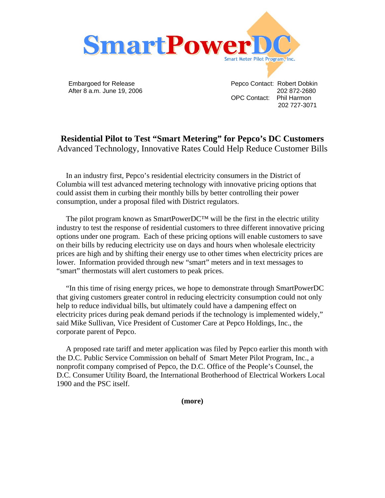

 Embargoed for Release Pepco Contact: Robert Dobkin After 8 a.m. June 19, 2006 202 872-2680 OPC Contact: Phil Harmon 202 727-3071

## **Residential Pilot to Test "Smart Metering" for Pepco's DC Customers**  Advanced Technology, Innovative Rates Could Help Reduce Customer Bills

 In an industry first, Pepco's residential electricity consumers in the District of Columbia will test advanced metering technology with innovative pricing options that could assist them in curbing their monthly bills by better controlling their power consumption, under a proposal filed with District regulators.

The pilot program known as SmartPowerDC™ will be the first in the electric utility industry to test the response of residential customers to three different innovative pricing options under one program. Each of these pricing options will enable customers to save on their bills by reducing electricity use on days and hours when wholesale electricity prices are high and by shifting their energy use to other times when electricity prices are lower. Information provided through new "smart" meters and in text messages to "smart" thermostats will alert customers to peak prices.

 "In this time of rising energy prices, we hope to demonstrate through SmartPowerDC that giving customers greater control in reducing electricity consumption could not only help to reduce individual bills, but ultimately could have a dampening effect on electricity prices during peak demand periods if the technology is implemented widely," said Mike Sullivan, Vice President of Customer Care at Pepco Holdings, Inc., the corporate parent of Pepco.

 A proposed rate tariff and meter application was filed by Pepco earlier this month with the D.C. Public Service Commission on behalf of Smart Meter Pilot Program, Inc., a nonprofit company comprised of Pepco, the D.C. Office of the People's Counsel, the D.C. Consumer Utility Board, the International Brotherhood of Electrical Workers Local 1900 and the PSC itself.

**(more)**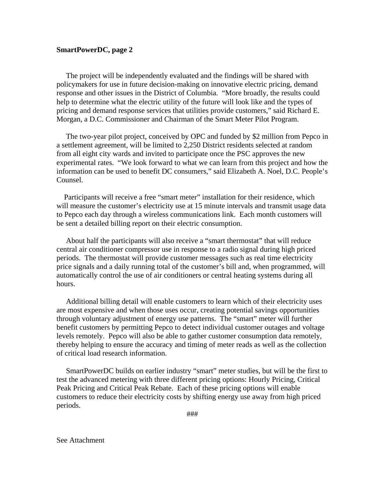## **SmartPowerDC, page 2**

 The project will be independently evaluated and the findings will be shared with policymakers for use in future decision-making on innovative electric pricing, demand response and other issues in the District of Columbia. "More broadly, the results could help to determine what the electric utility of the future will look like and the types of pricing and demand response services that utilities provide customers," said Richard E. Morgan, a D.C. Commissioner and Chairman of the Smart Meter Pilot Program.

 The two-year pilot project, conceived by OPC and funded by \$2 million from Pepco in a settlement agreement, will be limited to 2,250 District residents selected at random from all eight city wards and invited to participate once the PSC approves the new experimental rates. "We look forward to what we can learn from this project and how the information can be used to benefit DC consumers," said Elizabeth A. Noel, D.C. People's Counsel.

 Participants will receive a free "smart meter" installation for their residence, which will measure the customer's electricity use at 15 minute intervals and transmit usage data to Pepco each day through a wireless communications link. Each month customers will be sent a detailed billing report on their electric consumption.

 About half the participants will also receive a "smart thermostat" that will reduce central air conditioner compressor use in response to a radio signal during high priced periods. The thermostat will provide customer messages such as real time electricity price signals and a daily running total of the customer's bill and, when programmed, will automatically control the use of air conditioners or central heating systems during all hours.

 Additional billing detail will enable customers to learn which of their electricity uses are most expensive and when those uses occur, creating potential savings opportunities through voluntary adjustment of energy use patterns. The "smart" meter will further benefit customers by permitting Pepco to detect individual customer outages and voltage levels remotely. Pepco will also be able to gather customer consumption data remotely, thereby helping to ensure the accuracy and timing of meter reads as well as the collection of critical load research information.

 SmartPowerDC builds on earlier industry "smart" meter studies, but will be the first to test the advanced metering with three different pricing options: Hourly Pricing, Critical Peak Pricing and Critical Peak Rebate. Each of these pricing options will enable customers to reduce their electricity costs by shifting energy use away from high priced periods.

###

See Attachment